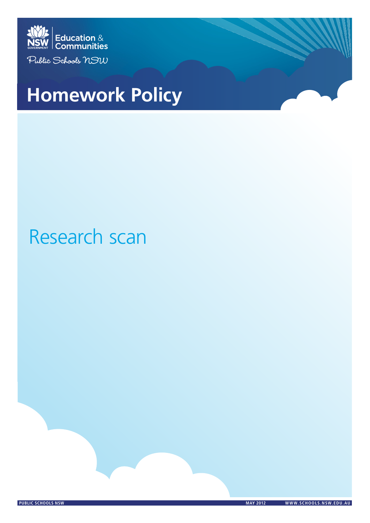

# **Homework Policy Homework Policy**

# Research scan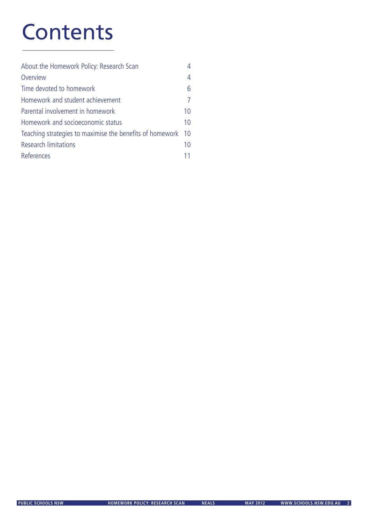# **Contents**

| About the Homework Policy: Research Scan                 |                |
|----------------------------------------------------------|----------------|
| Overview                                                 | 4              |
| Time devoted to homework                                 | 6              |
| Homework and student achievement                         | $\overline{7}$ |
| Parental involvement in homework                         | 10             |
| Homework and socioeconomic status                        | 10             |
| Teaching strategies to maximise the benefits of homework | 10             |
| <b>Research limitations</b>                              | 10             |
| References                                               |                |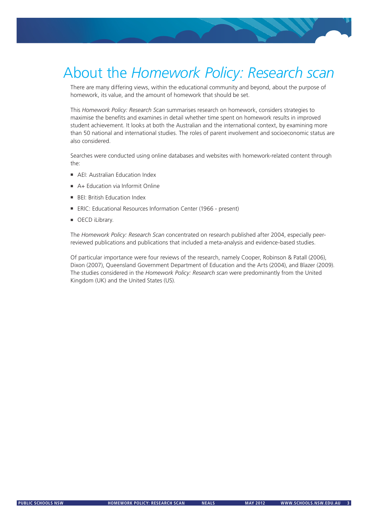# About the *Homework Policy: Research scan*

There are many differing views, within the educational community and beyond, about the purpose of homework, its value, and the amount of homework that should be set.

This *Homework Policy: Research Scan* summarises research on homework, considers strategies to maximise the benefits and examines in detail whether time spent on homework results in improved student achievement. It looks at both the Australian and the international context, by examining more than 50 national and international studies. The roles of parent involvement and socioeconomic status are also considered.

Searches were conducted using online databases and websites with homework-related content through the:

- **AEI:** Australian Education Index
- A+ Education via Informit Online
- **BEI: British Education Index**

Homework Policy: Research scan

- ERIC: Educational Resources Information Center (1966 present)
- OECD iLibrary.

The *Homework Policy: Research Scan* concentrated on research published after 2004, especially peerreviewed publications and publications that included a meta-analysis and evidence-based studies.

Of particular importance were four reviews of the research, namely Cooper, Robinson & Patall (2006), Dixon (2007), Queensland Government Department of Education and the Arts (2004), and Blazer (2009). The studies considered in the *Homework Policy: Research scan* were predominantly from the United Kingdom (UK) and the United States (US).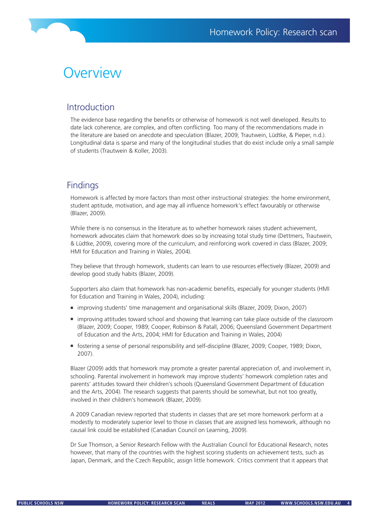#### **Overview**

#### Introduction

The evidence base regarding the benefits or otherwise of homework is not well developed. Results to date lack coherence, are complex, and often conflicting. Too many of the recommendations made in the literature are based on anecdote and speculation (Blazer, 2009; Trautwein, Lüdtke, & Pieper, n.d.). Longitudinal data is sparse and many of the longitudinal studies that do exist include only a small sample of students (Trautwein & Koller, 2003).

#### **Findings**

Homework is affected by more factors than most other instructional strategies: the home environment, student aptitude, motivation, and age may all influence homework's effect favourably or otherwise (Blazer, 2009).

While there is no consensus in the literature as to whether homework raises student achievement, homework advocates claim that homework does so by increasing total study time (Dettmers, Trautwein, & Lüdtke, 2009), covering more of the curriculum, and reinforcing work covered in class (Blazer, 2009; HMI for Education and Training in Wales, 2004).

They believe that through homework, students can learn to use resources effectively (Blazer, 2009) and develop good study habits (Blazer, 2009).

Supporters also claim that homework has non-academic benefits, especially for younger students (HMI for Education and Training in Wales, 2004), including:

- improving students' time management and organisational skills (Blazer, 2009; Dixon, 2007)
- improving attitudes toward school and showing that learning can take place outside of the classroom (Blazer, 2009; Cooper, 1989; Cooper, Robinson & Patall, 2006; Queensland Government Department of Education and the Arts, 2004; HMI for Education and Training in Wales, 2004)
- fostering a sense of personal responsibility and self-discipline (Blazer, 2009; Cooper, 1989; Dixon, 2007).

Blazer (2009) adds that homework may promote a greater parental appreciation of, and involvement in, schooling. Parental involvement in homework may improve students' homework completion rates and parents' attitudes toward their children's schools (Queensland Government Department of Education and the Arts, 2004). The research suggests that parents should be somewhat, but not too greatly, involved in their children's homework (Blazer, 2009).

A 2009 Canadian review reported that students in classes that are set more homework perform at a modestly to moderately superior level to those in classes that are assigned less homework, although no causal link could be established (Canadian Council on Learning, 2009).

Dr Sue Thomson, a Senior Research Fellow with the Australian Council for Educational Research, notes however, that many of the countries with the highest scoring students on achievement tests, such as Japan, Denmark, and the Czech Republic, assign little homework. Critics comment that it appears that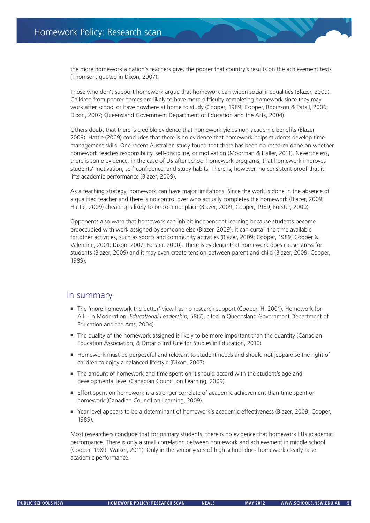the more homework a nation's teachers give, the poorer that country's results on the achievement tests (Thomson, quoted in Dixon, 2007).

Those who don't support homework argue that homework can widen social inequalities (Blazer, 2009). Children from poorer homes are likely to have more difficulty completing homework since they may work after school or have nowhere at home to study (Cooper, 1989; Cooper, Robinson & Patall, 2006; Dixon, 2007; Queensland Government Department of Education and the Arts, 2004).

Others doubt that there is credible evidence that homework yields non-academic benefits (Blazer, 2009). Hattie (2009) concludes that there is no evidence that homework helps students develop time management skills. One recent Australian study found that there has been no research done on whether homework teaches responsibility, self-discipline, or motivation (Moorman & Haller, 2011). Nevertheless, there is some evidence, in the case of US after-school homework programs, that homework improves students' motivation, self-confidence, and study habits. There is, however, no consistent proof that it lifts academic performance (Blazer, 2009).

As a teaching strategy, homework can have major limitations. Since the work is done in the absence of a qualified teacher and there is no control over who actually completes the homework (Blazer, 2009; Hattie, 2009) cheating is likely to be commonplace (Blazer, 2009; Cooper, 1989; Forster, 2000).

Opponents also warn that homework can inhibit independent learning because students become preoccupied with work assigned by someone else (Blazer, 2009). It can curtail the time available for other activities, such as sports and community activities (Blazer, 2009; Cooper, 1989; Cooper & Valentine, 2001; Dixon, 2007; Forster, 2000). There is evidence that homework does cause stress for students (Blazer, 2009) and it may even create tension between parent and child (Blazer, 2009; Cooper, 1989).

#### In summary

- The 'more homework the better' view has no research support (Cooper, H, 2001). Homework for All – In Moderation, *Educational Leadership*, 58(7), cited in Queensland Government Department of Education and the Arts, 2004).
- The quality of the homework assigned is likely to be more important than the quantity (Canadian Education Association, & Ontario Institute for Studies in Education, 2010).
- Homework must be purposeful and relevant to student needs and should not jeopardise the right of children to enjoy a balanced lifestyle (Dixon, 2007).
- The amount of homework and time spent on it should accord with the student's age and developmental level (Canadian Council on Learning, 2009).
- **Effort spent on homework is a stronger correlate of academic achievement than time spent on** homework (Canadian Council on Learning, 2009).
- Year level appears to be a determinant of homework's academic effectiveness (Blazer, 2009; Cooper, 1989).

Most researchers conclude that for primary students, there is no evidence that homework lifts academic performance. There is only a small correlation between homework and achievement in middle school (Cooper, 1989; Walker, 2011). Only in the senior years of high school does homework clearly raise academic performance.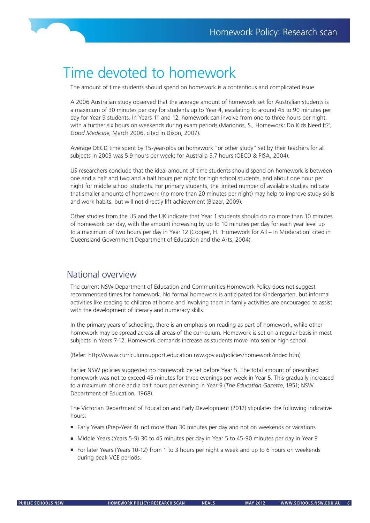

#### Time devoted to homework

The amount of time students should spend on homework is a contentious and complicated issue.

A 2006 Australian study observed that the average amount of homework set for Australian students is a maximum of 30 minutes per day for students up to Year 4, escalating to around 45 to 90 minutes per day for Year 9 students. In Years 11 and 12, homework can involve from one to three hours per night, with a further six hours on weekends during exam periods (Marionos, S., Homework: Do Kids Need It?', *Good Medicine*, March 2006, cited in Dixon, 2007).

Average OECD time spent by 15-year-olds on homework "or other study" set by their teachers for all subjects in 2003 was 5.9 hours per week; for Australia 5.7 hours (OECD & PISA, 2004).

US researchers conclude that the ideal amount of time students should spend on homework is between one and a half and two and a half hours per night for high school students, and about one hour per night for middle school students. For primary students, the limited number of available studies indicate that smaller amounts of homework (no more than 20 minutes per night) may help to improve study skills and work habits, but will not directly lift achievement (Blazer, 2009).

Other studies from the US and the UK indicate that Year 1 students should do no more than 10 minutes of homework per day, with the amount increasing by up to 10 minutes per day for each year level up to a maximum of two hours per day in Year 12 (Cooper, H. 'Homework for All – In Moderation' cited in Queensland Government Department of Education and the Arts, 2004).

#### National overview

The current NSW Department of Education and Communities Homework Policy does not suggest recommended times for homework. No formal homework is anticipated for Kindergarten, but informal activities like reading to children at home and involving them in family activities are encouraged to assist with the development of literacy and numeracy skills.

In the primary years of schooling, there is an emphasis on reading as part of homework, while other homework may be spread across all areas of the curriculum. Homework is set on a regular basis in most subjects in Years 7-12. Homework demands increase as students move into senior high school.

(Refer: http://www.curriculumsupport.education.nsw.gov.au/policies/homework/index.htm)

Earlier NSW policies suggested no homework be set before Year 5. The total amount of prescribed homework was not to exceed 45 minutes for three evenings per week in Year 5. This gradually increased to a maximum of one and a half hours per evening in Year 9 (*The Education Gazette*, 1951; NSW Department of Education, 1968).

The Victorian Department of Education and Early Development (2012) stipulates the following indicative hours:

- Early Years (Prep-Year 4) not more than 30 minutes per day and not on weekends or vacations
- Middle Years (Years 5-9) 30 to 45 minutes per day in Year 5 to 45-90 minutes per day in Year 9
- For later Years (Years 10-12) from 1 to 3 hours per night a week and up to 6 hours on weekends during peak VCE periods.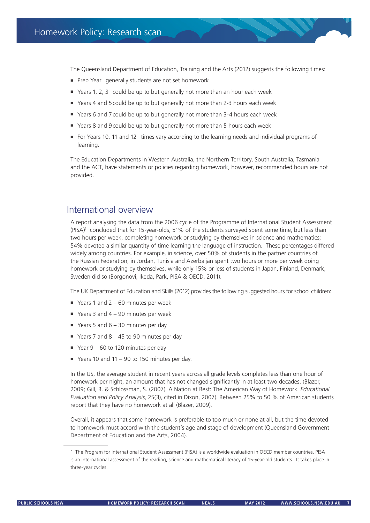The Queensland Department of Education, Training and the Arts (2012) suggests the following times:

- **Prep Year generally students are not set homework**
- Years 1, 2, 3 could be up to but generally not more than an hour each week
- Years 4 and 5could be up to but generally not more than 2-3 hours each week
- Years 6 and 7could be up to but generally not more than 3-4 hours each week
- Years 8 and 9 could be up to but generally not more than 5 hours each week
- For Years 10, 11 and 12 times vary according to the learning needs and individual programs of learning.

The Education Departments in Western Australia, the Northern Territory, South Australia, Tasmania and the ACT, have statements or policies regarding homework, however, recommended hours are not provided.

#### International overview

A report analysing the data from the 2006 cycle of the Programme of International Student Assessment (PISA)<sup>1</sup> concluded that for 15-year-olds, 51% of the students surveyed spent some time, but less than two hours per week, completing homework or studying by themselves in science and mathematics; 54% devoted a similar quantity of time learning the language of instruction. These percentages differed widely among countries. For example, in science, over 50% of students in the partner countries of the Russian Federation, in Jordan, Tunisia and Azerbaijan spent two hours or more per week doing homework or studying by themselves, while only 15% or less of students in Japan, Finland, Denmark, Sweden did so (Borgonovi, Ikeda, Park, PISA & OECD, 2011).

The UK Department of Education and Skills (2012) provides the following suggested hours for school children:

- Years 1 and  $2 60$  minutes per week
- Years 3 and  $4 90$  minutes per week
- Years 5 and  $6 30$  minutes per day
- Years 7 and  $8 45$  to 90 minutes per day
- Year  $9 60$  to 120 minutes per day
- Years 10 and 11 90 to 150 minutes per day.

In the US, the average student in recent years across all grade levels completes less than one hour of homework per night, an amount that has not changed significantly in at least two decades. (Blazer, 2009; Gill, B. & Schlossman, S. (2007). A Nation at Rest: The American Way of Homework. *Educational Evaluation and Policy Analysis*, 25(3), cited in Dixon, 2007). Between 25% to 50 % of American students report that they have no homework at all (Blazer, 2009).

Overall, it appears that some homework is preferable to too much or none at all, but the time devoted to homework must accord with the student's age and stage of development (Queensland Government Department of Education and the Arts, 2004).

<sup>1</sup> The Program for International Student Assessment (PISA) is a worldwide evaluation in OECD member countries. PISA is an international assessment of the reading, science and mathematical literacy of 15-year-old students. It takes place in three-year cycles.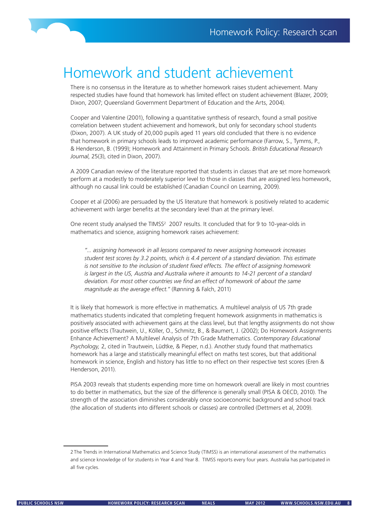

# Homework and student achievement

There is no consensus in the literature as to whether homework raises student achievement. Many respected studies have found that homework has limited effect on student achievement (Blazer, 2009; Dixon, 2007; Queensland Government Department of Education and the Arts, 2004).

Cooper and Valentine (2001), following a quantitative synthesis of research, found a small positive correlation between student achievement and homework, but only for secondary school students (Dixon, 2007). A UK study of 20,000 pupils aged 11 years old concluded that there is no evidence that homework in primary schools leads to improved academic performance (Farrow, S., Tymms, P., & Henderson, B. (1999); Homework and Attainment in Primary Schools. *British Educational Research Journal*, 25(3), cited in Dixon, 2007).

A 2009 Canadian review of the literature reported that students in classes that are set more homework perform at a modestly to moderately superior level to those in classes that are assigned less homework, although no causal link could be established (Canadian Council on Learning, 2009).

Cooper et al (2006) are persuaded by the US literature that homework is positively related to academic achievement with larger benefits at the secondary level than at the primary level.

One recent study analysed the TIMSS<sup>2</sup> 2007 results. It concluded that for 9 to 10-year-olds in mathematics and science, assigning homework raises achievement:

*"... assigning homework in all lessons compared to never assigning homework increases student test scores by 3.2 points, which is 4.4 percent of a standard deviation. This estimate is not sensitive to the inclusion of student fixed effects. The effect of assigning homework is largest in the US, Austria and Australia where it amounts to 14-21 percent of a standard deviation. For most other countries we find an effect of homework of about the same magnitude as the average effect."* (Rønning & Falch, 2011)

It is likely that homework is more effective in mathematics. A multilevel analysis of US 7th grade mathematics students indicated that completing frequent homework assignments in mathematics is positively associated with achievement gains at the class level, but that lengthy assignments do not show positive effects (Trautwein, U., Köller, O., Schmitz, B., & Baumert, J. (2002); Do Homework Assignments Enhance Achievement? A Multilevel Analysis of 7th Grade Mathematics. *Contemporary Educational Psychology,* 2, cited in Trautwein, Lüdtke, & Pieper, n.d.). Another study found that mathematics homework has a large and statistically meaningful effect on maths test scores, but that additional homework in science, English and history has little to no effect on their respective test scores (Eren & Henderson, 2011).

PISA 2003 reveals that students expending more time on homework overall are likely in most countries to do better in mathematics, but the size of the difference is generally small (PISA & OECD, 2010). The strength of the association diminishes considerably once socioeconomic background and school track (the allocation of students into different schools or classes) are controlled (Dettmers et al, 2009).

<sup>2</sup> The Trends in International Mathematics and Science Study (TIMSS) is an international assessment of the mathematics and science knowledge of for students in Year 4 and Year 8. TIMSS reports every four years. Australia has participated in all five cycles.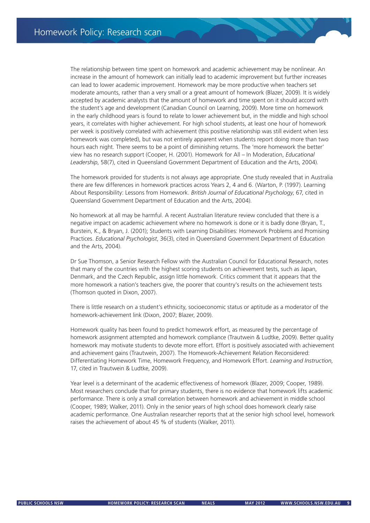The relationship between time spent on homework and academic achievement may be nonlinear. An increase in the amount of homework can initially lead to academic improvement but further increases can lead to lower academic improvement. Homework may be more productive when teachers set moderate amounts, rather than a very small or a great amount of homework (Blazer, 2009). It is widely accepted by academic analysts that the amount of homework and time spent on it should accord with the student's age and development (Canadian Council on Learning, 2009). More time on homework in the early childhood years is found to relate to lower achievement but, in the middle and high school years, it correlates with higher achievement. For high school students, at least one hour of homework per week is positively correlated with achievement (this positive relationship was still evident when less homework was completed), but was not entirely apparent when students report doing more than two hours each night. There seems to be a point of diminishing returns. The 'more homework the better' view has no research support (Cooper, H. (2001). Homework for All – In Moderation, *Educational Leadership*, 58(7), cited in Queensland Government Department of Education and the Arts, 2004).

The homework provided for students is not always age appropriate. One study revealed that in Australia there are few differences in homework practices across Years 2, 4 and 6. (Warton, P. (1997). Learning About Responsibility: Lessons from Homework. *British Journal of Educational Psychology*, 67, cited in Queensland Government Department of Education and the Arts, 2004).

No homework at all may be harmful. A recent Australian literature review concluded that there is a negative impact on academic achievement where no homework is done or it is badly done (Bryan, T., Burstein, K., & Bryan, J. (2001); Students with Learning Disabilities: Homework Problems and Promising Practices. *Educational Psychologist*, 36(3), cited in Queensland Government Department of Education and the Arts, 2004).

Dr Sue Thomson, a Senior Research Fellow with the Australian Council for Educational Research, notes that many of the countries with the highest scoring students on achievement tests, such as Japan, Denmark, and the Czech Republic, assign little homework. Critics comment that it appears that the more homework a nation's teachers give, the poorer that country's results on the achievement tests (Thomson quoted in Dixon, 2007).

There is little research on a student's ethnicity, socioeconomic status or aptitude as a moderator of the homework-achievement link (Dixon, 2007; Blazer, 2009).

Homework quality has been found to predict homework effort, as measured by the percentage of homework assignment attempted and homework compliance (Trautwein & Ludtke, 2009). Better quality homework may motivate students to devote more effort. Effort is positively associated with achievement and achievement gains (Trautwein, 2007). The Homework-Achievement Relation Reconsidered: Differentiating Homework Time, Homework Frequency, and Homework Effort. *Learning and Instruction*, 17, cited in Trautwein & Ludtke, 2009).

Year level is a determinant of the academic effectiveness of homework (Blazer, 2009; Cooper, 1989). Most researchers conclude that for primary students, there is no evidence that homework lifts academic performance. There is only a small correlation between homework and achievement in middle school (Cooper, 1989; Walker, 2011). Only in the senior years of high school does homework clearly raise academic performance. One Australian researcher reports that at the senior high school level, homework raises the achievement of about 45 % of students (Walker, 2011).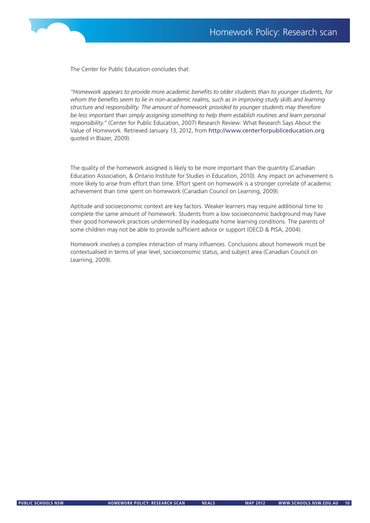

The Center for Public Education concludes that:

*"Homework appears to provide more academic benefits to older students than to younger students, for*  whom the benefits seem to lie in non-academic realms, such as in improving study skills and learning *structure and responsibility. The amount of homework provided to younger students may therefore be less important than simply assigning something to help them establish routines and learn personal responsibility."* (Center for Public Education, 2007) Research Review: What Research Says About the Value of Homework. Retrieved January 13, 2012, from http://www.centerforpubliceducation.org quoted in Blazer, 2009).

The quality of the homework assigned is likely to be more important than the quantity (Canadian Education Association, & Ontario Institute for Studies in Education, 2010). Any impact on achievement is more likely to arise from effort than time. Effort spent on homework is a stronger correlate of academic achievement than time spent on homework (Canadian Council on Learning, 2009).

Aptitude and socioeconomic context are key factors. Weaker learners may require additional time to complete the same amount of homework. Students from a low socioeconomic background may have their good homework practices undermined by inadequate home learning conditions. The parents of some children may not be able to provide sufficient advice or support (OECD & PISA, 2004).

Homework involves a complex interaction of many influences. Conclusions about homework must be contextualised in terms of year level, socioeconomic status, and subject area (Canadian Council on Learning, 2009).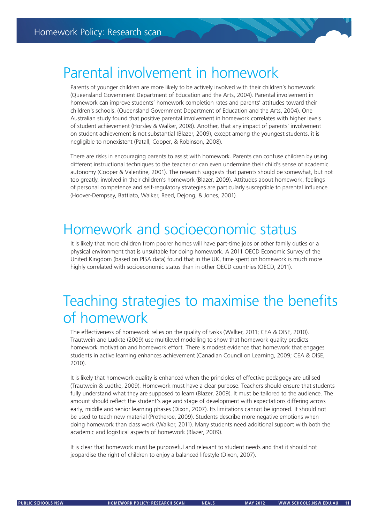#### Parental involvement in homework

Parents of younger children are more likely to be actively involved with their children's homework (Queensland Government Department of Education and the Arts, 2004). Parental involvement in homework can improve students' homework completion rates and parents' attitudes toward their children's schools. (Queensland Government Department of Education and the Arts, 2004). One Australian study found that positive parental involvement in homework correlates with higher levels of student achievement (Horsley & Walker, 2008). Another, that any impact of parents' involvement on student achievement is not substantial (Blazer, 2009), except among the youngest students, it is negligible to nonexistent (Patall, Cooper, & Robinson, 2008).

There are risks in encouraging parents to assist with homework. Parents can confuse children by using different instructional techniques to the teacher or can even undermine their child's sense of academic autonomy (Cooper & Valentine, 2001). The research suggests that parents should be somewhat, but not too greatly, involved in their children's homework (Blazer, 2009). Attitudes about homework, feelings of personal competence and self-regulatory strategies are particularly susceptible to parental influence (Hoover-Dempsey, Battiato, Walker, Reed, Dejong, & Jones, 2001).

## Homework and socioeconomic status

It is likely that more children from poorer homes will have part-time jobs or other family duties or a physical environment that is unsuitable for doing homework. A 2011 OECD Economic Survey of the United Kingdom (based on PISA data) found that in the UK, time spent on homework is much more highly correlated with socioeconomic status than in other OECD countries (OECD, 2011).

## Teaching strategies to maximise the benefits of homework

The effectiveness of homework relies on the quality of tasks (Walker, 2011; CEA & OISE, 2010). Trautwein and Ludkte (2009) use multilevel modelling to show that homework quality predicts homework motivation and homework effort. There is modest evidence that homework that engages students in active learning enhances achievement (Canadian Council on Learning, 2009; CEA & OISE, 2010).

It is likely that homework quality is enhanced when the principles of effective pedagogy are utilised (Trautwein & Ludtke, 2009). Homework must have a clear purpose. Teachers should ensure that students fully understand what they are supposed to learn (Blazer, 2009). It must be tailored to the audience. The amount should reflect the student's age and stage of development with expectations differing across early, middle and senior learning phases (Dixon, 2007). Its limitations cannot be ignored. It should not be used to teach new material (Protheroe, 2009). Students describe more negative emotions when doing homework than class work (Walker, 2011). Many students need additional support with both the academic and logistical aspects of homework (Blazer, 2009).

It is clear that homework must be purposeful and relevant to student needs and that it should not jeopardise the right of children to enjoy a balanced lifestyle (Dixon, 2007).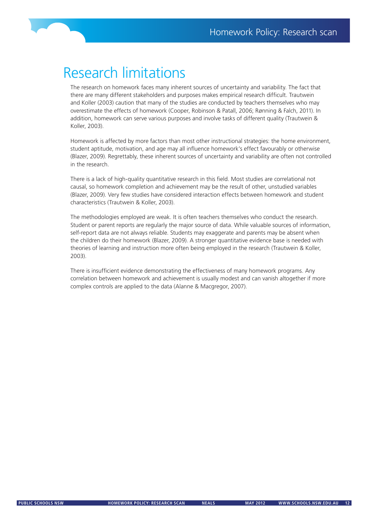

## Research limitations

The research on homework faces many inherent sources of uncertainty and variability. The fact that there are many different stakeholders and purposes makes empirical research difficult. Trautwein and Koller (2003) caution that many of the studies are conducted by teachers themselves who may overestimate the effects of homework (Cooper, Robinson & Patall, 2006; Rønning & Falch, 2011). In addition, homework can serve various purposes and involve tasks of different quality (Trautwein & Koller, 2003).

Homework is affected by more factors than most other instructional strategies: the home environment, student aptitude, motivation, and age may all influence homework's effect favourably or otherwise (Blazer, 2009). Regrettably, these inherent sources of uncertainty and variability are often not controlled in the research.

There is a lack of high-quality quantitative research in this field. Most studies are correlational not causal, so homework completion and achievement may be the result of other, unstudied variables (Blazer, 2009). Very few studies have considered interaction effects between homework and student characteristics (Trautwein & Koller, 2003).

The methodologies employed are weak. It is often teachers themselves who conduct the research. Student or parent reports are regularly the major source of data. While valuable sources of information, self-report data are not always reliable. Students may exaggerate and parents may be absent when the children do their homework (Blazer, 2009). A stronger quantitative evidence base is needed with theories of learning and instruction more often being employed in the research (Trautwein & Koller, 2003).

There is insufficient evidence demonstrating the effectiveness of many homework programs. Any correlation between homework and achievement is usually modest and can vanish altogether if more complex controls are applied to the data (Alanne & Macgregor, 2007).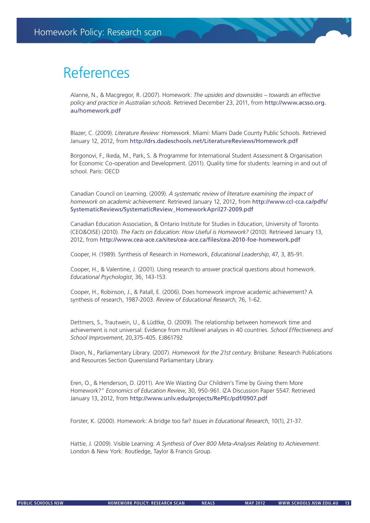## References

Alanne, N., & Macgregor, R. (2007). Homework: *The upsides and downsides – towards an effective policy and practice in Australian schools*. Retrieved December 23, 2011, from http://www.acsso.org. au/homework.pdf

Blazer, C. (2009). *Literature Review: Homework*. Miami: Miami Dade County Public Schools. Retrieved January 12, 2012, from http://drs.dadeschools.net/LiteratureReviews/Homework.pdf

Borgonovi, F., Ikeda, M., Park, S. & Programme for International Student Assessment & Organisation for Economic Co-operation and Development. (2011). Quality time for students: learning in and out of school. Paris: OECD

Canadian Council on Learning. (2009). *A systematic review of literature examining the impact of homework on academic achievement*. Retrieved January 12, 2012, from http://www.ccl-cca.ca/pdfs/ SystematicReviews/SystematicReview\_HomeworkApril27-2009.pdf

Canadian Education Association, & Ontario Institute for Studies in Education, University of Toronto. (CEO&OISE) (2010). *The Facts on Education: How Useful is Homework?* (2010). Retrieved January 13, 2012, from http://www.cea-ace.ca/sites/cea-ace.ca/files/cea-2010-foe-homework.pdf

Cooper, H. (1989). Synthesis of Research in Homework, *Educational Leadership*, 47, 3, 85-91.

Cooper, H., & Valentine, J. (2001). Using research to answer practical questions about homework. *Educational Psychologist*, 36, 143-153.

Cooper, H., Robinson, J., & Patall, E. (2006). Does homework improve academic achievement? A synthesis of research, 1987-2003. *Review of Educational Research*, 76, 1-62.

Dettmers, S., Trautwein, U., & Lüdtke, O. (2009). The relationship between homework time and achievement is not universal: Evidence from multilevel analyses in 40 countries. *School Effectiveness and School Improvement*, 20,375-405. EJ861792

Dixon, N., Parliamentary Library. (2007). *Homework for the 21st century*. Brisbane: Research Publications and Resources Section Queensland Parliamentary Library.

Eren, O., & Henderson, D. (2011). Are We Wasting Our Children's Time by Giving them More Homework?" *Economics of Education Review*, 30, 950-961. IZA Discussion Paper 5547. Retrieved January 13, 2012, from http://www.unlv.edu/projects/RePEc/pdf/0907.pdf

Forster, K. (2000). Homework: A bridge too far? *Issues in Educational Research*, 10(1), 21-37.

Hattie, J. (2009). Visible Learning: *A Synthesis of Over 800 Meta-Analyses Relating to Achievement*. London & New York: Routledge, Taylor & Francis Group.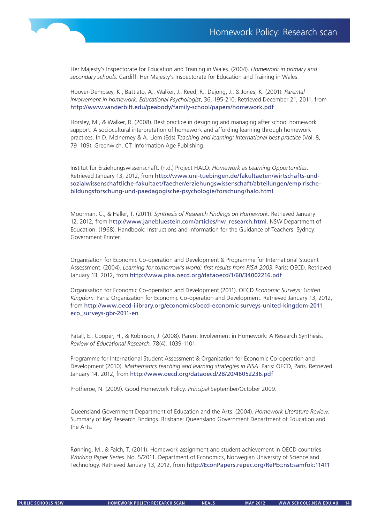

Her Majesty's Inspectorate for Education and Training in Wales. (2004). *Homework in primary and secondary schools*. Cardiff: Her Majesty's Inspectorate for Education and Training in Wales.

Hoover-Dempsey, K., Battiato, A., Walker, J., Reed, R., Dejong, J., & Jones, K. (2001). *Parental involvement in homework. Educational Psychologist*, 36, 195-210. Retrieved December 21, 2011, from http://www.vanderbilt.edu/peabody/family-school/papers/homework.pdf

Horsley, M., & Walker, R. (2008). Best practice in designing and managing after school homework support: A sociocultural interpretation of homework and affording learning through homework practices. In D. McInerney & A. Liem (Eds) *Teaching and learning: International best practice* (Vol. 8, 79–109). Greenwich, CT: Information Age Publishing.

Institut für Erziehungswissenschaft. (n.d.) Project HALO: *Homework as Learning Opportunities*. Retrieved January 13, 2012, from http://www.uni-tuebingen.de/fakultaeten/wirtschafts-undsozialwissenschaftliche-fakultaet/faecher/erziehungswissenschaft/abteilungen/empirischebildungsforschung-und-paedagogische-psychologie/forschung/halo.html

Moorman, C., & Haller, T. (2011). *Synthesis of Research Findings on Homework*. Retrieved January 12, 2012, from http://www.janebluestein.com/articles/hw\_research.html. NSW Department of Education. (1968). Handbook: Instructions and Information for the Guidance of Teachers. Sydney: Government Printer.

Organisation for Economic Co-operation and Development & Programme for International Student Assessment. (2004). *Learning for tomorrow's world: first results from PISA 2003*. Paris: OECD. Retrieved January 13, 2012, from http://www.pisa.oecd.org/dataoecd/1/60/34002216.pdf

Organisation for Economic Co-operation and Development (2011). OECD *Economic Surveys: United Kingdom*. Paris: Organization for Economic Co-operation and Development. Retrieved January 13, 2012, from http://www.oecd-ilibrary.org/economics/oecd-economic-surveys-united-kingdom-2011\_ eco\_surveys-gbr-2011-en

Patall, E., Cooper, H., & Robinson, J. (2008). Parent Involvement in Homework: A Research Synthesis. *Review of Educational Research*, 78(4), 1039-1101.

Programme for International Student Assessment & Organisation for Economic Co-operation and Development (2010). *Mathematics teaching and learning strategies in PISA*. Paris: OECD, Paris. Retrieved January 14, 2012, from http://www.oecd.org/dataoecd/28/20/46052236.pdf

Protheroe, N. (2009). Good Homework Policy. *Principal* September/October 2009.

Queensland Government Department of Education and the Arts. (2004). *Homework Literature Review*. Summary of Key Research Findings. Brisbane: Queensland Government Department of Education and the Arts.

Rønning, M., & Falch, T. (2011). Homework assignment and student achievement in OECD countries. *Working Paper Series*. No. 5/2011. Department of Economics, Norwegian University of Science and Technology. Retrieved January 13, 2012, from http://EconPapers.repec.org/RePEc:nst:samfok:11411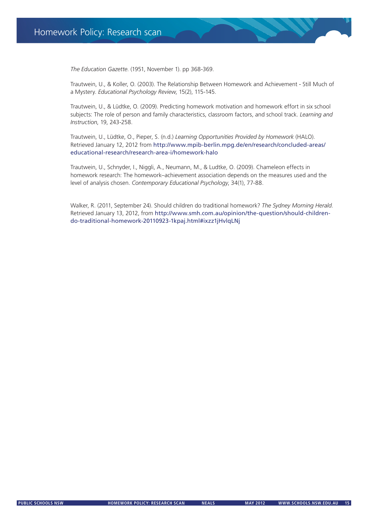*The Education Gazette*. (1951, November 1). pp 368-369.

Trautwein, U., & Koller, O. (2003). The Relationship Between Homework and Achievement - Still Much of a Mystery. *Educational Psychology Review*, 15(2), 115-145.

Trautwein, U., & Lüdtke, O. (2009). Predicting homework motivation and homework effort in six school subjects: The role of person and family characteristics, classroom factors, and school track. *Learning and Instruction*, 19, 243-258.

Trautwein, U., Lüdtke, O., Pieper, S. (n.d.) *Learning Opportunities Provided by Homework* (HALO). Retrieved January 12, 2012 from http://www.mpib-berlin.mpg.de/en/research/concluded-areas/ educational-research/research-area-i/homework-halo

Trautwein, U., Schnyder, I., Niggli, A., Neumann, M., & Ludtke, O. (2009). Chameleon effects in homework research: The homework–achievement association depends on the measures used and the level of analysis chosen. *Contemporary Educational Psychology*, 34(1), 77-88.

Walker, R. (2011, September 24). Should children do traditional homework? *The Sydney Morning Herald*. Retrieved January 13, 2012, from http://www.smh.com.au/opinion/the-question/should-childrendo-traditional-homework-20110923-1kpaj.html#ixzz1jHvlqLNj